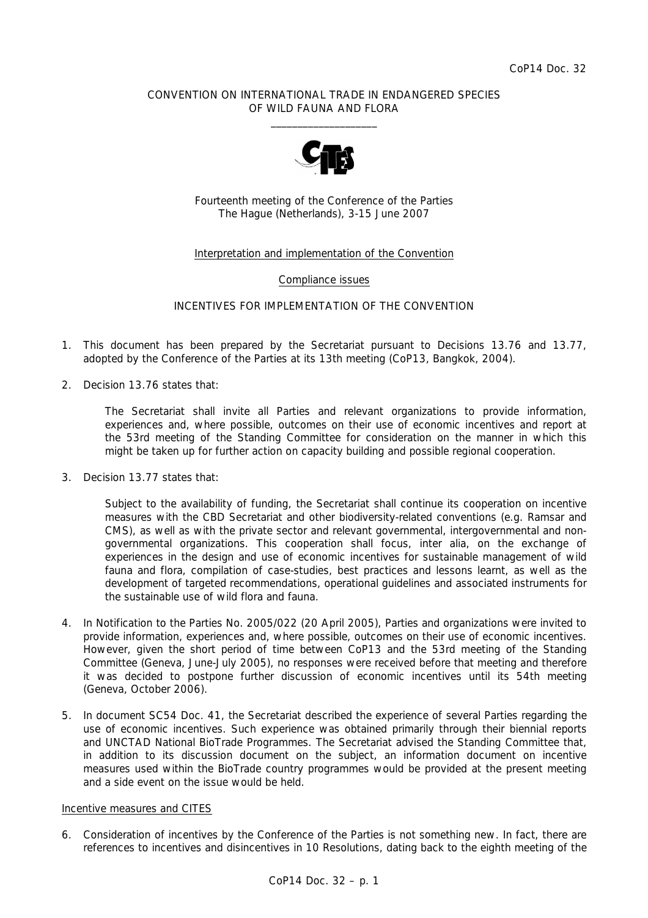## CONVENTION ON INTERNATIONAL TRADE IN ENDANGERED SPECIES OF WILD FAUNA AND FLORA  $\frac{1}{2}$  , and the set of the set of the set of the set of the set of the set of the set of the set of the set of the set of the set of the set of the set of the set of the set of the set of the set of the set of the set



Fourteenth meeting of the Conference of the Parties The Hague (Netherlands), 3-15 June 2007

# Interpretation and implementation of the Convention

#### Compliance issues

## INCENTIVES FOR IMPLEMENTATION OF THE CONVENTION

- 1. This document has been prepared by the Secretariat pursuant to Decisions 13.76 and 13.77, adopted by the Conference of the Parties at its 13th meeting (CoP13, Bangkok, 2004).
- 2. Decision 13.76 states that:

 *The Secretariat shall invite all Parties and relevant organizations to provide information, experiences and, where possible, outcomes on their use of economic incentives and report at the 53rd meeting of the Standing Committee for consideration on the manner in which this might be taken up for further action on capacity building and possible regional cooperation.* 

3. Decision 13.77 states that:

 *Subject to the availability of funding, the Secretariat shall continue its cooperation on incentive measures with the CBD Secretariat and other biodiversity-related conventions (e.g. Ramsar and CMS), as well as with the private sector and relevant governmental, intergovernmental and nongovernmental organizations. This cooperation shall focus, inter alia, on the exchange of experiences in the design and use of economic incentives for sustainable management of wild fauna and flora, compilation of case-studies, best practices and lessons learnt, as well as the development of targeted recommendations, operational guidelines and associated instruments for the sustainable use of wild flora and fauna.* 

- 4. In Notification to the Parties No. 2005/022 (20 April 2005), Parties and organizations were invited to provide information, experiences and, where possible, outcomes on their use of economic incentives. However, given the short period of time between CoP13 and the 53rd meeting of the Standing Committee (Geneva, June-July 2005), no responses were received before that meeting and therefore it was decided to postpone further discussion of economic incentives until its 54th meeting (Geneva, October 2006).
- 5. In document SC54 Doc. 41, the Secretariat described the experience of several Parties regarding the use of economic incentives. Such experience was obtained primarily through their biennial reports and UNCTAD National BioTrade Programmes. The Secretariat advised the Standing Committee that, in addition to its discussion document on the subject, an information document on incentive measures used within the BioTrade country programmes would be provided at the present meeting and a side event on the issue would be held.

## Incentive measures and CITES

6. Consideration of incentives by the Conference of the Parties is not something new. In fact, there are references to incentives and disincentives in 10 Resolutions, dating back to the eighth meeting of the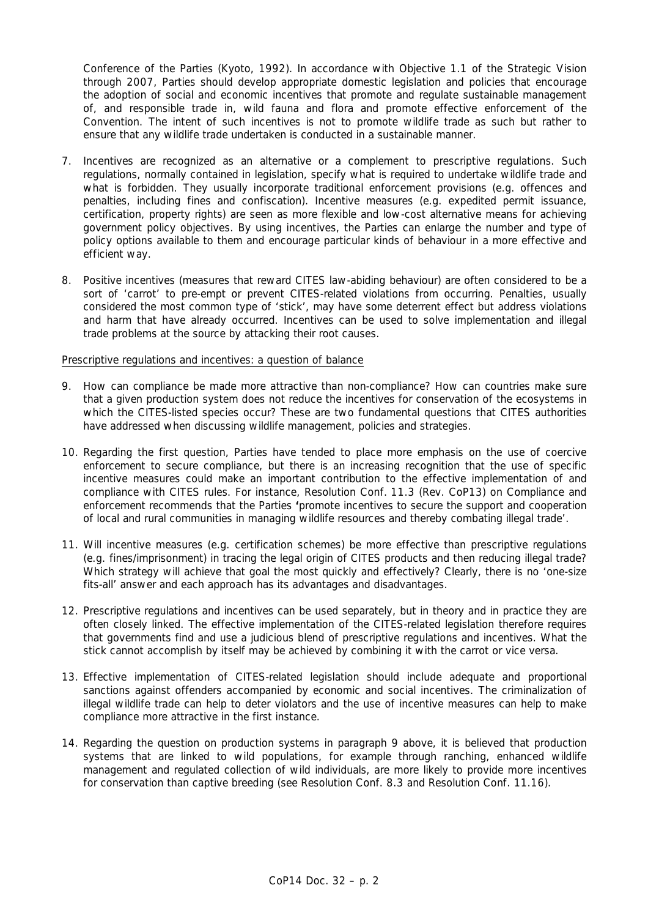Conference of the Parties (Kyoto, 1992). In accordance with Objective 1.1 of the Strategic Vision through 2007, Parties should develop appropriate domestic legislation and policies that encourage the adoption of social and economic incentives that promote and regulate sustainable management of, and responsible trade in, wild fauna and flora and promote effective enforcement of the Convention. The intent of such incentives is not to promote wildlife trade as such but rather to ensure that any wildlife trade undertaken is conducted in a sustainable manner.

- 7. Incentives are recognized as an alternative or a complement to prescriptive regulations. Such regulations, normally contained in legislation, specify what is required to undertake wildlife trade and what is forbidden. They usually incorporate traditional enforcement provisions (e.g. offences and penalties, including fines and confiscation). Incentive measures (e.g. expedited permit issuance, certification, property rights) are seen as more flexible and low-cost alternative means for achieving government policy objectives. By using incentives, the Parties can enlarge the number and type of policy options available to them and encourage particular kinds of behaviour in a more effective and efficient way.
- 8. Positive incentives (measures that reward CITES law-abiding behaviour) are often considered to be a sort of 'carrot' to pre-empt or prevent CITES-related violations from occurring. Penalties, usually considered the most common type of 'stick', may have some deterrent effect but address violations and harm that have already occurred. Incentives can be used to solve implementation and illegal trade problems at the source by attacking their root causes.

### Prescriptive regulations and incentives: a question of balance

- 9. How can compliance be made more attractive than non-compliance? How can countries make sure that a given production system does not reduce the incentives for conservation of the ecosystems in which the CITES-listed species occur? These are two fundamental questions that CITES authorities have addressed when discussing wildlife management, policies and strategies.
- 10. Regarding the first question, Parties have tended to place more emphasis on the use of coercive enforcement to secure compliance, but there is an increasing recognition that the use of specific incentive measures could make an important contribution to the effective implementation of and compliance with CITES rules. For instance, Resolution Conf. 11.3 (Rev. CoP13) on Compliance and enforcement recommends that the Parties **'***promote incentives to secure the support and cooperation of local and rural communities in managing wildlife resources and thereby combating illegal trade'.*
- 11. Will incentive measures (e.g. certification schemes) be more effective than prescriptive regulations (e.g. fines/imprisonment) in tracing the legal origin of CITES products and then reducing illegal trade? Which strategy will achieve that goal the most quickly and effectively? Clearly, there is no 'one-size fits-all' answer and each approach has its advantages and disadvantages.
- 12. Prescriptive regulations and incentives can be used separately, but in theory and in practice they are often closely linked. The effective implementation of the CITES-related legislation therefore requires that governments find and use a judicious blend of prescriptive regulations and incentives. What the stick cannot accomplish by itself may be achieved by combining it with the carrot or vice versa.
- 13. Effective implementation of CITES-related legislation should include adequate and proportional sanctions against offenders accompanied by economic and social incentives. The criminalization of illegal wildlife trade can help to deter violators and the use of incentive measures can help to make compliance more attractive in the first instance.
- 14. Regarding the question on production systems in paragraph 9 above, it is believed that production systems that are linked to wild populations, for example through ranching, enhanced wildlife management and regulated collection of wild individuals, are more likely to provide more incentives for conservation than captive breeding (see Resolution Conf. 8.3 and Resolution Conf. 11.16).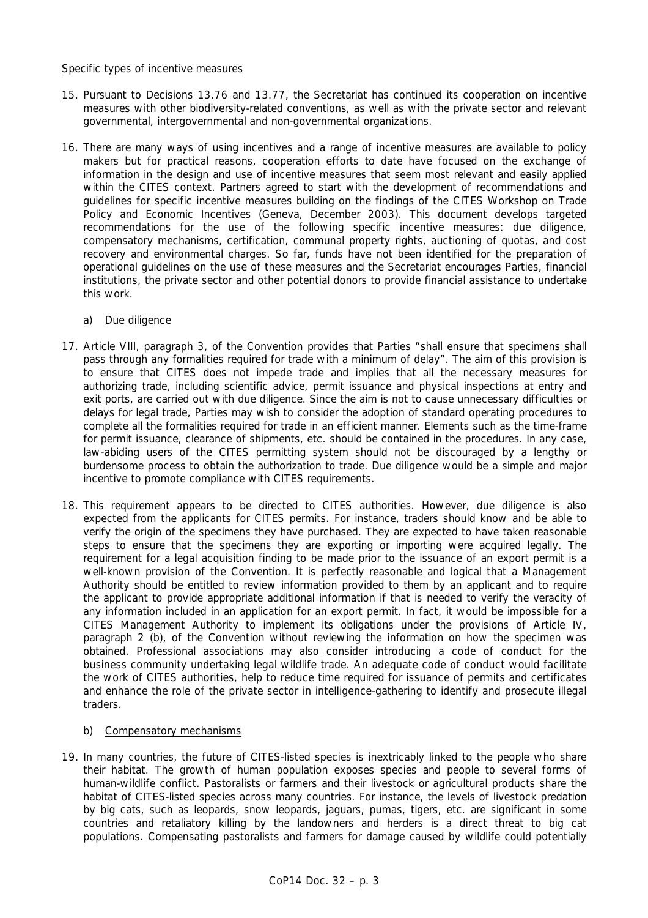### Specific types of incentive measures

- 15. Pursuant to Decisions 13.76 and 13.77, the Secretariat has continued its cooperation on incentive measures with other biodiversity-related conventions, as well as with the private sector and relevant governmental, intergovernmental and non-governmental organizations.
- 16. There are many ways of using incentives and a range of incentive measures are available to policy makers but for practical reasons, cooperation efforts to date have focused on the exchange of information in the design and use of incentive measures that seem most relevant and easily applied within the CITES context. Partners agreed to start with the development of recommendations and guidelines for specific incentive measures building on the findings of the CITES Workshop on Trade Policy and Economic Incentives (Geneva, December 2003). This document develops targeted recommendations for the use of the following specific incentive measures: due diligence, compensatory mechanisms, certification, communal property rights, auctioning of quotas, and cost recovery and environmental charges. So far, funds have not been identified for the preparation of operational guidelines on the use of these measures and the Secretariat encourages Parties, financial institutions, the private sector and other potential donors to provide financial assistance to undertake this work.

# a) Due diligence

- 17. Article VIII, paragraph 3, of the Convention provides that Parties "shall ensure that specimens shall pass through any formalities required for trade with a minimum of delay". The aim of this provision is to ensure that CITES does not impede trade and implies that all the necessary measures for authorizing trade, including scientific advice, permit issuance and physical inspections at entry and exit ports, are carried out with due diligence. Since the aim is not to cause unnecessary difficulties or delays for legal trade, Parties may wish to consider the adoption of standard operating procedures to complete all the formalities required for trade in an efficient manner. Elements such as the time-frame for permit issuance, clearance of shipments, etc. should be contained in the procedures. In any case, law-abiding users of the CITES permitting system should not be discouraged by a lengthy or burdensome process to obtain the authorization to trade. Due diligence would be a simple and major incentive to promote compliance with CITES requirements.
- 18. This requirement appears to be directed to CITES authorities. However, due diligence is also expected from the applicants for CITES permits. For instance, traders should know and be able to verify the origin of the specimens they have purchased. They are expected to have taken reasonable steps to ensure that the specimens they are exporting or importing were acquired legally. The requirement for a legal acquisition finding to be made prior to the issuance of an export permit is a well-known provision of the Convention. It is perfectly reasonable and logical that a Management Authority should be entitled to review information provided to them by an applicant and to require the applicant to provide appropriate additional information if that is needed to verify the veracity of any information included in an application for an export permit. In fact, it would be impossible for a CITES Management Authority to implement its obligations under the provisions of Article IV, paragraph 2 (b), of the Convention without reviewing the information on how the specimen was obtained. Professional associations may also consider introducing a code of conduct for the business community undertaking legal wildlife trade. An adequate code of conduct would facilitate the work of CITES authorities, help to reduce time required for issuance of permits and certificates and enhance the role of the private sector in intelligence-gathering to identify and prosecute illegal traders.

# b) Compensatory mechanisms

19. In many countries, the future of CITES-listed species is inextricably linked to the people who share their habitat. The growth of human population exposes species and people to several forms of human-wildlife conflict. Pastoralists or farmers and their livestock or agricultural products share the habitat of CITES-listed species across many countries. For instance, the levels of livestock predation by big cats, such as leopards, snow leopards, jaguars, pumas, tigers, etc. are significant in some countries and retaliatory killing by the landowners and herders is a direct threat to big cat populations. Compensating pastoralists and farmers for damage caused by wildlife could potentially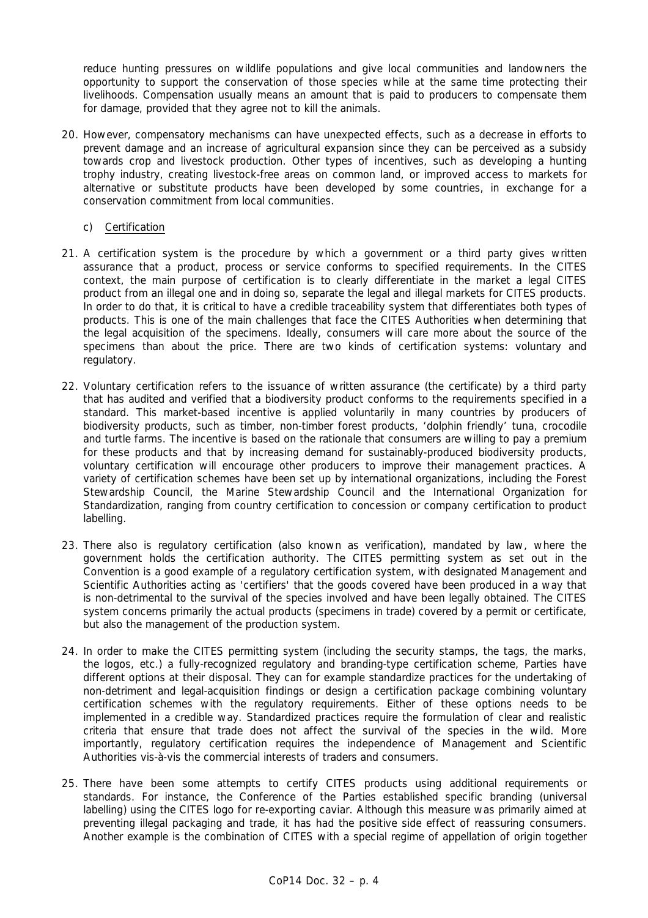reduce hunting pressures on wildlife populations and give local communities and landowners the opportunity to support the conservation of those species while at the same time protecting their livelihoods. Compensation usually means an amount that is paid to producers to compensate them for damage, provided that they agree not to kill the animals.

- 20. However, compensatory mechanisms can have unexpected effects, such as a decrease in efforts to prevent damage and an increase of agricultural expansion since they can be perceived as a subsidy towards crop and livestock production. Other types of incentives, such as developing a hunting trophy industry, creating livestock-free areas on common land, or improved access to markets for alternative or substitute products have been developed by some countries, in exchange for a conservation commitment from local communities.
	- c) Certification
- 21. A certification system is the procedure by which a government or a third party gives written assurance that a product, process or service conforms to specified requirements. In the CITES context, the main purpose of certification is to clearly differentiate in the market a legal CITES product from an illegal one and in doing so, separate the legal and illegal markets for CITES products. In order to do that, it is critical to have a credible traceability system that differentiates both types of products. This is one of the main challenges that face the CITES Authorities when determining that the legal acquisition of the specimens. Ideally, consumers will care more about the source of the specimens than about the price. There are two kinds of certification systems: voluntary and regulatory.
- 22. Voluntary certification refers to the issuance of written assurance (the certificate) by a third party that has audited and verified that a biodiversity product conforms to the requirements specified in a standard. This market-based incentive is applied voluntarily in many countries by producers of biodiversity products, such as timber, non-timber forest products, 'dolphin friendly' tuna, crocodile and turtle farms. The incentive is based on the rationale that consumers are willing to pay a premium for these products and that by increasing demand for sustainably-produced biodiversity products, voluntary certification will encourage other producers to improve their management practices. A variety of certification schemes have been set up by international organizations, including the Forest Stewardship Council, the Marine Stewardship Council and the International Organization for Standardization, ranging from country certification to concession or company certification to product labelling.
- 23. There also is regulatory certification (also known as verification), mandated by law, where the government holds the certification authority. The CITES permitting system as set out in the Convention is a good example of a regulatory certification system, with designated Management and Scientific Authorities acting as 'certifiers' that the goods covered have been produced in a way that is non-detrimental to the survival of the species involved and have been legally obtained. The CITES system concerns primarily the actual products (specimens in trade) covered by a permit or certificate, but also the management of the production system.
- 24. In order to make the CITES permitting system (including the security stamps, the tags, the marks, the logos, etc.) a fully-recognized regulatory and branding-type certification scheme, Parties have different options at their disposal. They can for example standardize practices for the undertaking of non-detriment and legal-acquisition findings or design a certification package combining voluntary certification schemes with the regulatory requirements. Either of these options needs to be implemented in a credible way. Standardized practices require the formulation of clear and realistic criteria that ensure that trade does not affect the survival of the species in the wild. More importantly, regulatory certification requires the independence of Management and Scientific Authorities *vis-à-vis* the commercial interests of traders and consumers.
- 25. There have been some attempts to certify CITES products using additional requirements or standards. For instance, the Conference of the Parties established specific branding (universal labelling) using the CITES logo for re-exporting caviar. Although this measure was primarily aimed at preventing illegal packaging and trade, it has had the positive side effect of reassuring consumers. Another example is the combination of CITES with a special regime of appellation of origin together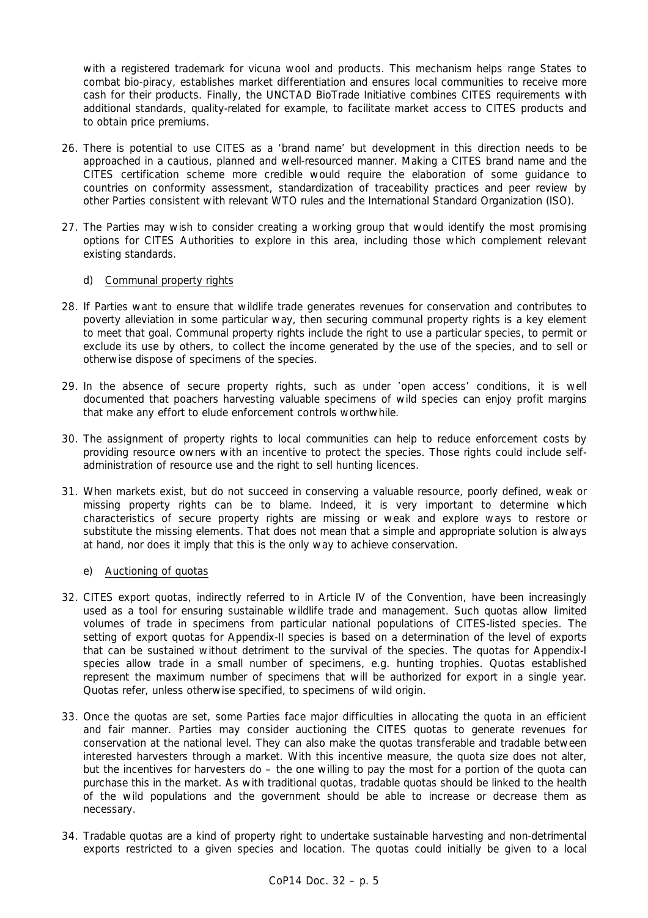with a registered trademark for vicuna wool and products. This mechanism helps range States to combat bio-piracy, establishes market differentiation and ensures local communities to receive more cash for their products. Finally, the UNCTAD BioTrade Initiative combines CITES requirements with additional standards, quality-related for example, to facilitate market access to CITES products and to obtain price premiums.

- 26. There is potential to use CITES as a 'brand name' but development in this direction needs to be approached in a cautious, planned and well-resourced manner. Making a CITES brand name and the CITES certification scheme more credible would require the elaboration of some guidance to countries on conformity assessment, standardization of traceability practices and peer review by other Parties consistent with relevant WTO rules and the International Standard Organization (ISO).
- 27. The Parties may wish to consider creating a working group that would identify the most promising options for CITES Authorities to explore in this area, including those which complement relevant existing standards.

# d) Communal property rights

- 28. If Parties want to ensure that wildlife trade generates revenues for conservation and contributes to poverty alleviation in some particular way, then securing communal property rights is a key element to meet that goal. Communal property rights include the right to use a particular species, to permit or exclude its use by others, to collect the income generated by the use of the species, and to sell or otherwise dispose of specimens of the species.
- 29. In the absence of secure property rights, such as under 'open access' conditions, it is well documented that poachers harvesting valuable specimens of wild species can enjoy profit margins that make any effort to elude enforcement controls worthwhile.
- 30. The assignment of property rights to local communities can help to reduce enforcement costs by providing resource owners with an incentive to protect the species. Those rights could include selfadministration of resource use and the right to sell hunting licences.
- 31. When markets exist, but do not succeed in conserving a valuable resource, poorly defined, weak or missing property rights can be to blame. Indeed, it is very important to determine which characteristics of secure property rights are missing or weak and explore ways to restore or substitute the missing elements. That does not mean that a simple and appropriate solution is always at hand, nor does it imply that this is the only way to achieve conservation.

# e) Auctioning of quotas

- 32. CITES export quotas, indirectly referred to in Article IV of the Convention, have been increasingly used as a tool for ensuring sustainable wildlife trade and management. Such quotas allow limited volumes of trade in specimens from particular national populations of CITES-listed species. The setting of export quotas for Appendix-II species is based on a determination of the level of exports that can be sustained without detriment to the survival of the species. The quotas for Appendix-I species allow trade in a small number of specimens, e.g. hunting trophies. Quotas established represent the maximum number of specimens that will be authorized for export in a single year. Quotas refer, unless otherwise specified, to specimens of wild origin.
- 33. Once the quotas are set, some Parties face major difficulties in allocating the quota in an efficient and fair manner. Parties may consider auctioning the CITES quotas to generate revenues for conservation at the national level. They can also make the quotas transferable and tradable between interested harvesters through a market. With this incentive measure, the quota size does not alter, but the incentives for harvesters do – the one willing to pay the most for a portion of the quota can purchase this in the market. As with traditional quotas, tradable quotas should be linked to the health of the wild populations and the government should be able to increase or decrease them as necessary.
- 34. Tradable quotas are a kind of property right to undertake sustainable harvesting and non-detrimental exports restricted to a given species and location. The quotas could initially be given to a local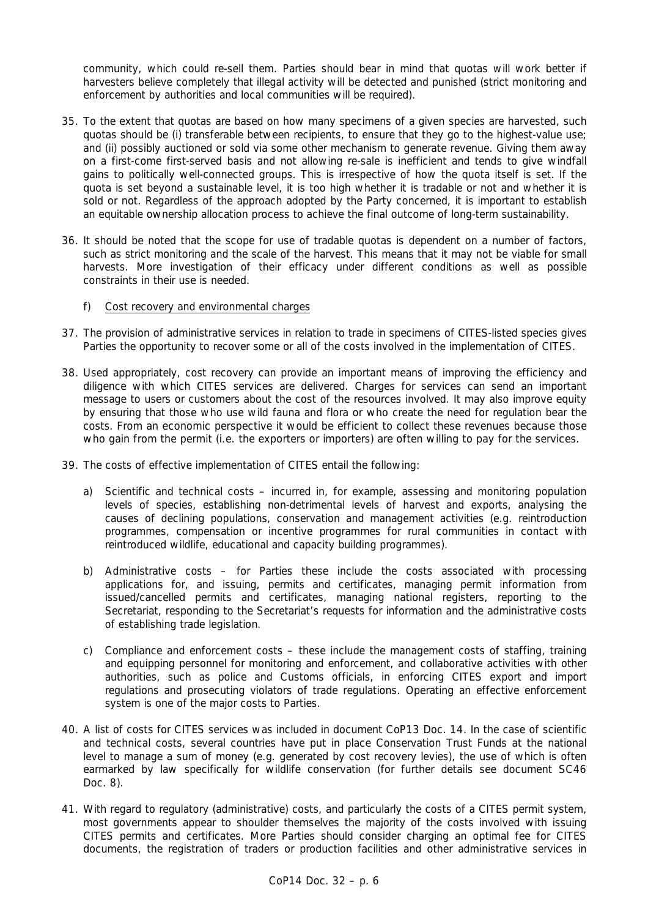community, which could re-sell them. Parties should bear in mind that quotas will work better if harvesters believe completely that illegal activity will be detected and punished (strict monitoring and enforcement by authorities and local communities will be required).

- 35. To the extent that quotas are based on how many specimens of a given species are harvested, such quotas should be (i) transferable between recipients, to ensure that they go to the highest-value use; and (ii) possibly auctioned or sold via some other mechanism to generate revenue. Giving them away on a first-come first-served basis and not allowing re-sale is inefficient and tends to give windfall gains to politically well-connected groups. This is irrespective of how the quota itself is set. If the quota is set beyond a sustainable level, it is too high whether it is tradable or not and whether it is sold or not. Regardless of the approach adopted by the Party concerned, it is important to establish an equitable ownership allocation process to achieve the final outcome of long-term sustainability.
- 36. It should be noted that the scope for use of tradable quotas is dependent on a number of factors, such as strict monitoring and the scale of the harvest. This means that it may not be viable for small harvests. More investigation of their efficacy under different conditions as well as possible constraints in their use is needed.
	- f) Cost recovery and environmental charges
- 37. The provision of administrative services in relation to trade in specimens of CITES-listed species gives Parties the opportunity to recover some or all of the costs involved in the implementation of CITES.
- 38. Used appropriately, cost recovery can provide an important means of improving the efficiency and diligence with which CITES services are delivered. Charges for services can send an important message to users or customers about the cost of the resources involved. It may also improve equity by ensuring that those who use wild fauna and flora or who create the need for regulation bear the costs. From an economic perspective it would be efficient to collect these revenues because those who gain from the permit (i.e. the exporters or importers) are often willing to pay for the services.
- 39. The costs of effective implementation of CITES entail the following:
	- a) Scientific and technical costs incurred in, for example, assessing and monitoring population levels of species, establishing non-detrimental levels of harvest and exports, analysing the causes of declining populations, conservation and management activities (e.g. reintroduction programmes, compensation or incentive programmes for rural communities in contact with reintroduced wildlife, educational and capacity building programmes).
	- b) Administrative costs for Parties these include the costs associated with processing applications for, and issuing, permits and certificates, managing permit information from issued/cancelled permits and certificates, managing national registers, reporting to the Secretariat, responding to the Secretariat's requests for information and the administrative costs of establishing trade legislation.
	- c) Compliance and enforcement costs these include the management costs of staffing, training and equipping personnel for monitoring and enforcement, and collaborative activities with other authorities, such as police and Customs officials, in enforcing CITES export and import regulations and prosecuting violators of trade regulations. Operating an effective enforcement system is one of the major costs to Parties.
- 40. A list of costs for CITES services was included in document CoP13 Doc. 14. In the case of scientific and technical costs, several countries have put in place Conservation Trust Funds at the national level to manage a sum of money (e.g. generated by cost recovery levies), the use of which is often earmarked by law specifically for wildlife conservation (for further details see document SC46 Doc. 8).
- 41. With regard to regulatory (administrative) costs, and particularly the costs of a CITES permit system, most governments appear to shoulder themselves the majority of the costs involved with issuing CITES permits and certificates. More Parties should consider charging an optimal fee for CITES documents, the registration of traders or production facilities and other administrative services in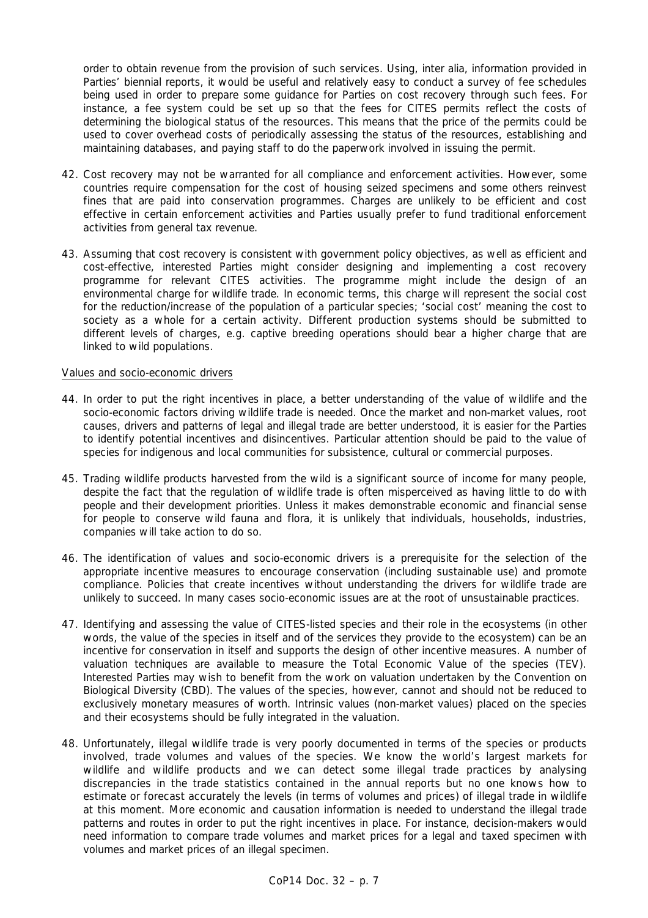order to obtain revenue from the provision of such services. Using, *inter alia*, information provided in Parties' biennial reports, it would be useful and relatively easy to conduct a survey of fee schedules being used in order to prepare some guidance for Parties on cost recovery through such fees. For instance, a fee system could be set up so that the fees for CITES permits reflect the costs of determining the biological status of the resources. This means that the price of the permits could be used to cover overhead costs of periodically assessing the status of the resources, establishing and maintaining databases, and paying staff to do the paperwork involved in issuing the permit.

- 42. Cost recovery may not be warranted for all compliance and enforcement activities. However, some countries require compensation for the cost of housing seized specimens and some others reinvest fines that are paid into conservation programmes. Charges are unlikely to be efficient and cost effective in certain enforcement activities and Parties usually prefer to fund traditional enforcement activities from general tax revenue.
- 43. Assuming that cost recovery is consistent with government policy objectives, as well as efficient and cost-effective, interested Parties might consider designing and implementing a cost recovery programme for relevant CITES activities. The programme might include the design of an environmental charge for wildlife trade. In economic terms, this charge will represent the social cost for the reduction/increase of the population of a particular species; 'social cost' meaning the cost to society as a whole for a certain activity. Different production systems should be submitted to different levels of charges, e.g. captive breeding operations should bear a higher charge that are linked to wild populations.

#### Values and socio-economic drivers

- 44. In order to put the right incentives in place, a better understanding of the value of wildlife and the socio-economic factors driving wildlife trade is needed. Once the market and non-market values, root causes, drivers and patterns of legal and illegal trade are better understood, it is easier for the Parties to identify potential incentives and disincentives. Particular attention should be paid to the value of species for indigenous and local communities for subsistence, cultural or commercial purposes.
- 45. Trading wildlife products harvested from the wild is a significant source of income for many people, despite the fact that the regulation of wildlife trade is often misperceived as having little to do with people and their development priorities. Unless it makes demonstrable economic and financial sense for people to conserve wild fauna and flora, it is unlikely that individuals, households, industries, companies will take action to do so.
- 46. The identification of values and socio-economic drivers is a prerequisite for the selection of the appropriate incentive measures to encourage conservation (including sustainable use) and promote compliance. Policies that create incentives without understanding the drivers for wildlife trade are unlikely to succeed. In many cases socio-economic issues are at the root of unsustainable practices.
- 47. Identifying and assessing the value of CITES-listed species and their role in the ecosystems (in other words, the value of the species in itself and of the services they provide to the ecosystem) can be an incentive for conservation in itself and supports the design of other incentive measures. A number of valuation techniques are available to measure the Total Economic Value of the species (TEV). Interested Parties may wish to benefit from the work on valuation undertaken by the Convention on Biological Diversity (CBD). The values of the species, however, cannot and should not be reduced to exclusively monetary measures of worth. Intrinsic values (non-market values) placed on the species and their ecosystems should be fully integrated in the valuation.
- 48. Unfortunately, illegal wildlife trade is very poorly documented in terms of the species or products involved, trade volumes and values of the species. We know the world's largest markets for wildlife and wildlife products and we can detect some illegal trade practices by analysing discrepancies in the trade statistics contained in the annual reports but no one knows how to estimate or forecast accurately the levels (in terms of volumes and prices) of illegal trade in wildlife at this moment. More economic and causation information is needed to understand the illegal trade patterns and routes in order to put the right incentives in place. For instance, decision-makers would need information to compare trade volumes and market prices for a legal and taxed specimen with volumes and market prices of an illegal specimen.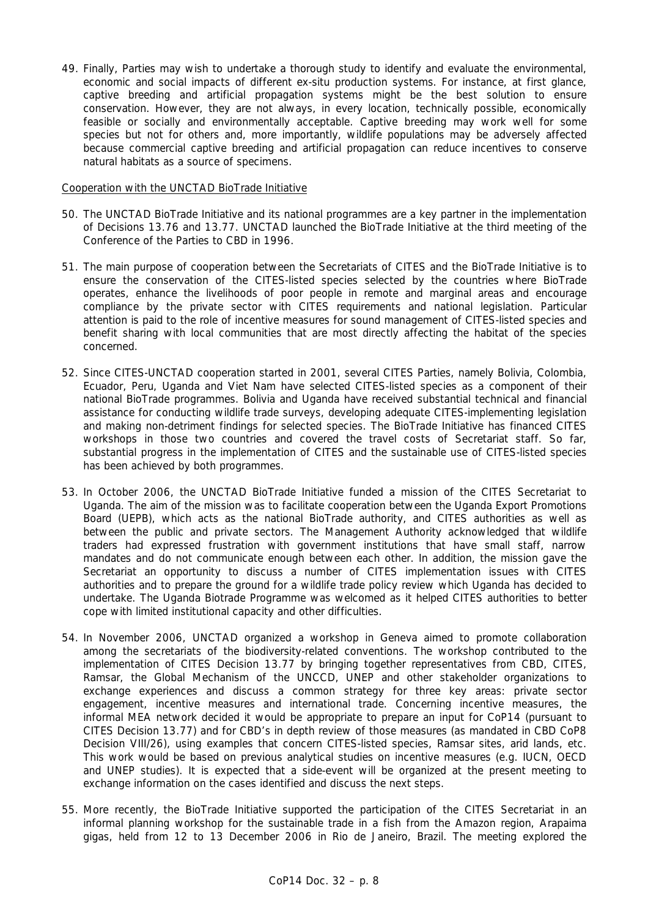49. Finally, Parties may wish to undertake a thorough study to identify and evaluate the environmental, economic and social impacts of different *ex-situ* production systems. For instance, at first glance, captive breeding and artificial propagation systems might be the best solution to ensure conservation. However, they are not always, in every location, technically possible, economically feasible or socially and environmentally acceptable. Captive breeding may work well for some species but not for others and, more importantly, wildlife populations may be adversely affected because commercial captive breeding and artificial propagation can reduce incentives to conserve natural habitats as a source of specimens.

### Cooperation with the UNCTAD BioTrade Initiative

- 50. The UNCTAD BioTrade Initiative and its national programmes are a key partner in the implementation of Decisions 13.76 and 13.77. UNCTAD launched the BioTrade Initiative at the third meeting of the Conference of the Parties to CBD in 1996.
- 51. The main purpose of cooperation between the Secretariats of CITES and the BioTrade Initiative is to ensure the conservation of the CITES-listed species selected by the countries where BioTrade operates, enhance the livelihoods of poor people in remote and marginal areas and encourage compliance by the private sector with CITES requirements and national legislation. Particular attention is paid to the role of incentive measures for sound management of CITES-listed species and benefit sharing with local communities that are most directly affecting the habitat of the species concerned.
- 52. Since CITES-UNCTAD cooperation started in 2001, several CITES Parties, namely Bolivia, Colombia, Ecuador, Peru, Uganda and Viet Nam have selected CITES-listed species as a component of their national BioTrade programmes. Bolivia and Uganda have received substantial technical and financial assistance for conducting wildlife trade surveys, developing adequate CITES-implementing legislation and making non-detriment findings for selected species. The BioTrade Initiative has financed CITES workshops in those two countries and covered the travel costs of Secretariat staff. So far, substantial progress in the implementation of CITES and the sustainable use of CITES-listed species has been achieved by both programmes.
- 53. In October 2006, the UNCTAD BioTrade Initiative funded a mission of the CITES Secretariat to Uganda. The aim of the mission was to facilitate cooperation between the Uganda Export Promotions Board (UEPB), which acts as the national BioTrade authority, and CITES authorities as well as between the public and private sectors. The Management Authority acknowledged that wildlife traders had expressed frustration with government institutions that have small staff, narrow mandates and do not communicate enough between each other. In addition, the mission gave the Secretariat an opportunity to discuss a number of CITES implementation issues with CITES authorities and to prepare the ground for a wildlife trade policy review which Uganda has decided to undertake. The Uganda Biotrade Programme was welcomed as it helped CITES authorities to better cope with limited institutional capacity and other difficulties.
- 54. In November 2006, UNCTAD organized a workshop in Geneva aimed to promote collaboration among the secretariats of the biodiversity-related conventions. The workshop contributed to the implementation of CITES Decision 13.77 by bringing together representatives from CBD, CITES, Ramsar, the Global Mechanism of the UNCCD, UNEP and other stakeholder organizations to exchange experiences and discuss a common strategy for three key areas: private sector engagement, incentive measures and international trade. Concerning incentive measures, the informal MEA network decided it would be appropriate to prepare an input for CoP14 (pursuant to CITES Decision 13.77) and for CBD's in depth review of those measures (as mandated in CBD CoP8 Decision VIII/26), using examples that concern CITES-listed species, Ramsar sites, arid lands, etc. This work would be based on previous analytical studies on incentive measures (e.g. IUCN, OECD and UNEP studies). It is expected that a side-event will be organized at the present meeting to exchange information on the cases identified and discuss the next steps.
- 55. More recently, the BioTrade Initiative supported the participation of the CITES Secretariat in an informal planning workshop for the sustainable trade in a fish from the Amazon region, *Arapaima gigas*, held from 12 to 13 December 2006 in Rio de Janeiro, Brazil. The meeting explored the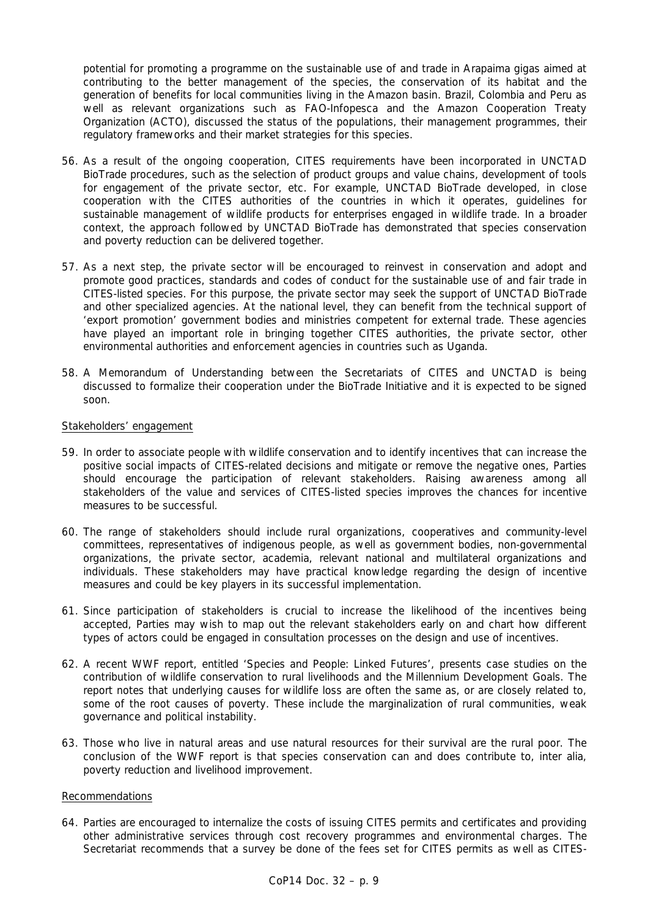potential for promoting a programme on the sustainable use of and trade in *Arapaima gigas* aimed at contributing to the better management of the species, the conservation of its habitat and the generation of benefits for local communities living in the Amazon basin. Brazil, Colombia and Peru as well as relevant organizations such as FAO-Infopesca and the Amazon Cooperation Treaty Organization (ACTO), discussed the status of the populations, their management programmes, their regulatory frameworks and their market strategies for this species.

- 56. As a result of the ongoing cooperation, CITES requirements have been incorporated in UNCTAD BioTrade procedures, such as the selection of product groups and value chains, development of tools for engagement of the private sector, etc. For example, UNCTAD BioTrade developed, in close cooperation with the CITES authorities of the countries in which it operates, guidelines for sustainable management of wildlife products for enterprises engaged in wildlife trade. In a broader context, the approach followed by UNCTAD BioTrade has demonstrated that species conservation and poverty reduction can be delivered together.
- 57. As a next step, the private sector will be encouraged to reinvest in conservation and adopt and promote good practices, standards and codes of conduct for the sustainable use of and fair trade in CITES-listed species. For this purpose, the private sector may seek the support of UNCTAD BioTrade and other specialized agencies. At the national level, they can benefit from the technical support of 'export promotion' government bodies and ministries competent for external trade. These agencies have played an important role in bringing together CITES authorities, the private sector, other environmental authorities and enforcement agencies in countries such as Uganda.
- 58. A Memorandum of Understanding between the Secretariats of CITES and UNCTAD is being discussed to formalize their cooperation under the BioTrade Initiative and it is expected to be signed soon.

#### Stakeholders' engagement

- 59. In order to associate people with wildlife conservation and to identify incentives that can increase the positive social impacts of CITES-related decisions and mitigate or remove the negative ones, Parties should encourage the participation of relevant stakeholders. Raising awareness among all stakeholders of the value and services of CITES-listed species improves the chances for incentive measures to be successful.
- 60. The range of stakeholders should include rural organizations, cooperatives and community-level committees, representatives of indigenous people, as well as government bodies, non-governmental organizations, the private sector, academia, relevant national and multilateral organizations and individuals. These stakeholders may have practical knowledge regarding the design of incentive measures and could be key players in its successful implementation.
- 61. Since participation of stakeholders is crucial to increase the likelihood of the incentives being accepted, Parties may wish to map out the relevant stakeholders early on and chart how different types of actors could be engaged in consultation processes on the design and use of incentives.
- 62. A recent WWF report, entitled 'Species and People: Linked Futures', presents case studies on the contribution of wildlife conservation to rural livelihoods and the Millennium Development Goals. The report notes that underlying causes for wildlife loss are often the same as, or are closely related to, some of the root causes of poverty. These include the marginalization of rural communities, weak governance and political instability.
- 63. Those who live in natural areas and use natural resources for their survival are the rural poor. The conclusion of the WWF report is that species conservation can and does contribute to, *inter alia*, poverty reduction and livelihood improvement.

# Recommendations

64. Parties are encouraged to internalize the costs of issuing CITES permits and certificates and providing other administrative services through cost recovery programmes and environmental charges. The Secretariat recommends that a survey be done of the fees set for CITES permits as well as CITES-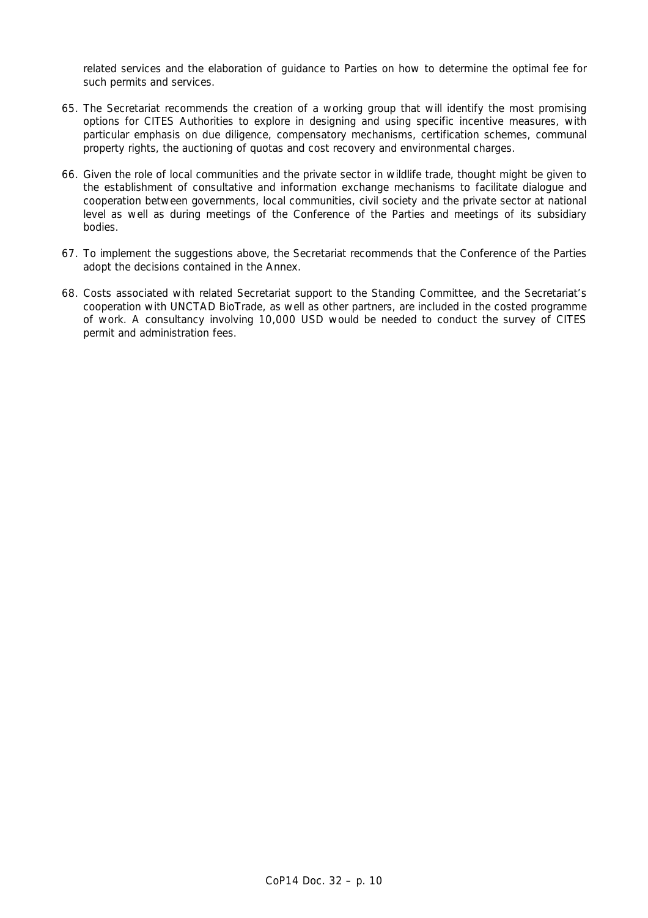related services and the elaboration of guidance to Parties on how to determine the optimal fee for such permits and services.

- 65. The Secretariat recommends the creation of a working group that will identify the most promising options for CITES Authorities to explore in designing and using specific incentive measures, with particular emphasis on due diligence, compensatory mechanisms, certification schemes, communal property rights, the auctioning of quotas and cost recovery and environmental charges.
- 66. Given the role of local communities and the private sector in wildlife trade, thought might be given to the establishment of consultative and information exchange mechanisms to facilitate dialogue and cooperation between governments, local communities, civil society and the private sector at national level as well as during meetings of the Conference of the Parties and meetings of its subsidiary bodies.
- 67. To implement the suggestions above, the Secretariat recommends that the Conference of the Parties adopt the decisions contained in the Annex.
- 68. Costs associated with related Secretariat support to the Standing Committee, and the Secretariat's cooperation with UNCTAD BioTrade, as well as other partners, are included in the costed programme of work. A consultancy involving 10,000 USD would be needed to conduct the survey of CITES permit and administration fees.